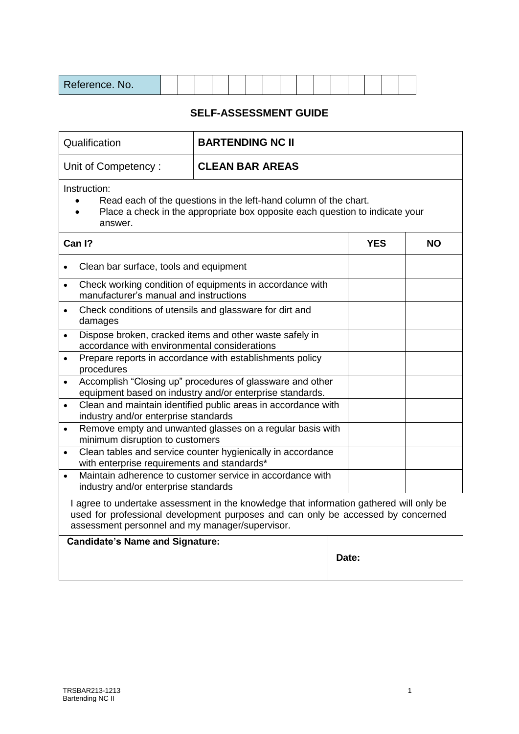| Reference. No. |  |  |  |  |  |  |  |  |  |  |  |  |  |  |  |
|----------------|--|--|--|--|--|--|--|--|--|--|--|--|--|--|--|
|----------------|--|--|--|--|--|--|--|--|--|--|--|--|--|--|--|

## **SELF-ASSESSMENT GUIDE**

| Qualification                                            |                                                                                                                                                                             |       |  |  |  |  |  |  |
|----------------------------------------------------------|-----------------------------------------------------------------------------------------------------------------------------------------------------------------------------|-------|--|--|--|--|--|--|
| Unit of Competency:                                      | <b>CLEAN BAR AREAS</b>                                                                                                                                                      |       |  |  |  |  |  |  |
| Instruction:<br>answer.                                  | Read each of the questions in the left-hand column of the chart.<br>Place a check in the appropriate box opposite each question to indicate your                            |       |  |  |  |  |  |  |
| Can I?                                                   |                                                                                                                                                                             |       |  |  |  |  |  |  |
| Clean bar surface, tools and equipment<br>$\bullet$      |                                                                                                                                                                             |       |  |  |  |  |  |  |
| $\bullet$<br>manufacturer's manual and instructions      | Check working condition of equipments in accordance with                                                                                                                    |       |  |  |  |  |  |  |
| $\bullet$<br>damages                                     | Check conditions of utensils and glassware for dirt and                                                                                                                     |       |  |  |  |  |  |  |
| $\bullet$                                                | Dispose broken, cracked items and other waste safely in<br>accordance with environmental considerations                                                                     |       |  |  |  |  |  |  |
| procedures                                               | Prepare reports in accordance with establishments policy                                                                                                                    |       |  |  |  |  |  |  |
| $\bullet$                                                | Accomplish "Closing up" procedures of glassware and other<br>equipment based on industry and/or enterprise standards.                                                       |       |  |  |  |  |  |  |
| $\bullet$<br>industry and/or enterprise standards        | Clean and maintain identified public areas in accordance with                                                                                                               |       |  |  |  |  |  |  |
| $\bullet$<br>minimum disruption to customers             | Remove empty and unwanted glasses on a regular basis with                                                                                                                   |       |  |  |  |  |  |  |
| $\bullet$<br>with enterprise requirements and standards* | Clean tables and service counter hygienically in accordance                                                                                                                 |       |  |  |  |  |  |  |
| industry and/or enterprise standards                     | Maintain adherence to customer service in accordance with                                                                                                                   |       |  |  |  |  |  |  |
| assessment personnel and my manager/supervisor.          | I agree to undertake assessment in the knowledge that information gathered will only be<br>used for professional development purposes and can only be accessed by concerned |       |  |  |  |  |  |  |
| <b>Candidate's Name and Signature:</b>                   |                                                                                                                                                                             | Date: |  |  |  |  |  |  |

 $\overline{\phantom{a}}$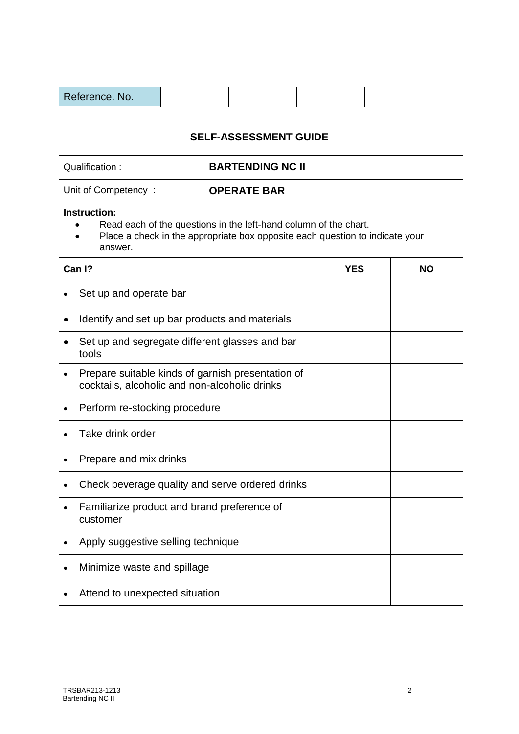| D.<br>aterence<br>nce. No. |  |  |  |  |  |  |  |  |  |  |  |  |  |
|----------------------------|--|--|--|--|--|--|--|--|--|--|--|--|--|
|----------------------------|--|--|--|--|--|--|--|--|--|--|--|--|--|

## **SELF-ASSESSMENT GUIDE**

| Qualification:                                                                                                  | <b>BARTENDING NC II</b>                                                                                                                          |           |  |  |  |  |  |
|-----------------------------------------------------------------------------------------------------------------|--------------------------------------------------------------------------------------------------------------------------------------------------|-----------|--|--|--|--|--|
| Unit of Competency:                                                                                             | <b>OPERATE BAR</b>                                                                                                                               |           |  |  |  |  |  |
| <b>Instruction:</b><br>answer.                                                                                  | Read each of the questions in the left-hand column of the chart.<br>Place a check in the appropriate box opposite each question to indicate your |           |  |  |  |  |  |
| Can I?                                                                                                          | <b>YES</b>                                                                                                                                       | <b>NO</b> |  |  |  |  |  |
| Set up and operate bar                                                                                          |                                                                                                                                                  |           |  |  |  |  |  |
| Identify and set up bar products and materials<br>$\bullet$                                                     |                                                                                                                                                  |           |  |  |  |  |  |
| Set up and segregate different glasses and bar<br>tools                                                         |                                                                                                                                                  |           |  |  |  |  |  |
| Prepare suitable kinds of garnish presentation of<br>$\bullet$<br>cocktails, alcoholic and non-alcoholic drinks |                                                                                                                                                  |           |  |  |  |  |  |
| Perform re-stocking procedure<br>$\bullet$                                                                      |                                                                                                                                                  |           |  |  |  |  |  |
| Take drink order<br>$\bullet$                                                                                   |                                                                                                                                                  |           |  |  |  |  |  |
| Prepare and mix drinks<br>$\bullet$                                                                             |                                                                                                                                                  |           |  |  |  |  |  |
| Check beverage quality and serve ordered drinks                                                                 |                                                                                                                                                  |           |  |  |  |  |  |
| Familiarize product and brand preference of<br>customer                                                         |                                                                                                                                                  |           |  |  |  |  |  |
| Apply suggestive selling technique<br>$\bullet$                                                                 |                                                                                                                                                  |           |  |  |  |  |  |
| Minimize waste and spillage<br>$\bullet$                                                                        |                                                                                                                                                  |           |  |  |  |  |  |
| Attend to unexpected situation                                                                                  |                                                                                                                                                  |           |  |  |  |  |  |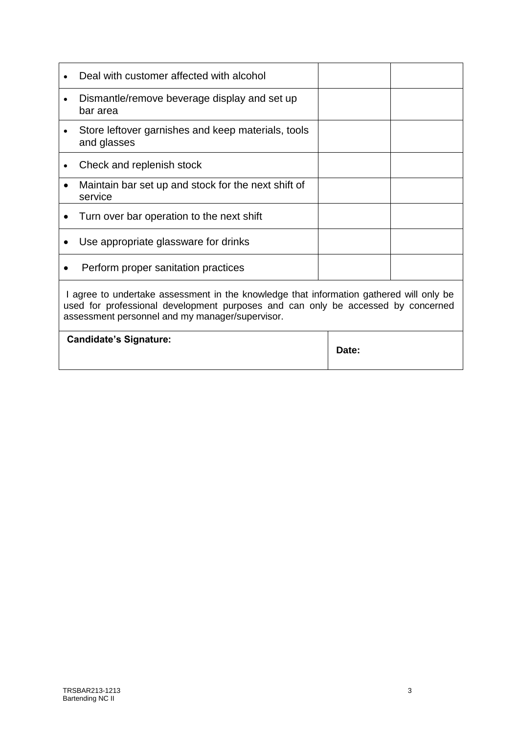|   | Deal with customer affected with alcohol                                                                                                                                                                                       |       |  |
|---|--------------------------------------------------------------------------------------------------------------------------------------------------------------------------------------------------------------------------------|-------|--|
| ٠ | Dismantle/remove beverage display and set up<br>bar area                                                                                                                                                                       |       |  |
|   | Store leftover garnishes and keep materials, tools<br>and glasses                                                                                                                                                              |       |  |
|   | Check and replenish stock                                                                                                                                                                                                      |       |  |
|   | Maintain bar set up and stock for the next shift of<br>service                                                                                                                                                                 |       |  |
|   | Turn over bar operation to the next shift                                                                                                                                                                                      |       |  |
|   | Use appropriate glassware for drinks                                                                                                                                                                                           |       |  |
|   | Perform proper sanitation practices                                                                                                                                                                                            |       |  |
|   | I agree to undertake assessment in the knowledge that information gathered will only be<br>used for professional development purposes and can only be accessed by concerned<br>assessment personnel and my manager/supervisor. |       |  |
|   | <b>Candidate's Signature:</b>                                                                                                                                                                                                  | Date: |  |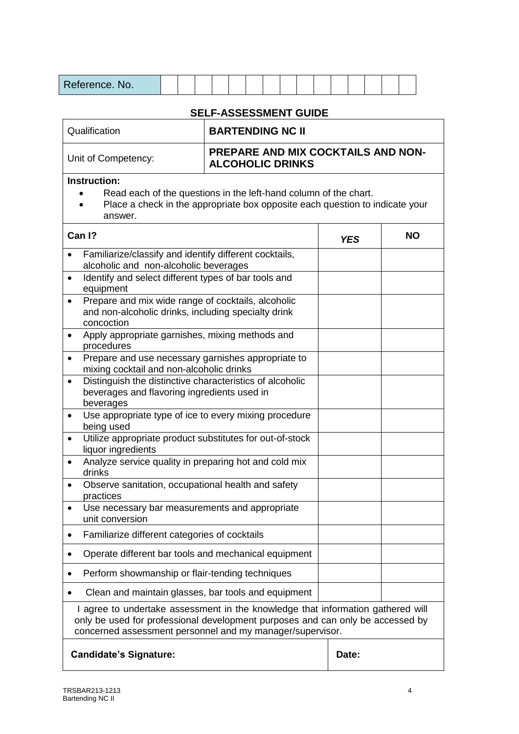| Reference. No.                                                                                                                                                                                                                                                                                                                                                                                                                                                                                                                                                                                                                                                                                                                                                                                                                                                                                                    |  |                              |  |  |  |  |            |  |  |                                           |  |  |  |  |
|-------------------------------------------------------------------------------------------------------------------------------------------------------------------------------------------------------------------------------------------------------------------------------------------------------------------------------------------------------------------------------------------------------------------------------------------------------------------------------------------------------------------------------------------------------------------------------------------------------------------------------------------------------------------------------------------------------------------------------------------------------------------------------------------------------------------------------------------------------------------------------------------------------------------|--|------------------------------|--|--|--|--|------------|--|--|-------------------------------------------|--|--|--|--|
|                                                                                                                                                                                                                                                                                                                                                                                                                                                                                                                                                                                                                                                                                                                                                                                                                                                                                                                   |  | <b>SELF-ASSESSMENT GUIDE</b> |  |  |  |  |            |  |  |                                           |  |  |  |  |
| Qualification                                                                                                                                                                                                                                                                                                                                                                                                                                                                                                                                                                                                                                                                                                                                                                                                                                                                                                     |  | <b>BARTENDING NC II</b>      |  |  |  |  |            |  |  |                                           |  |  |  |  |
| Unit of Competency:                                                                                                                                                                                                                                                                                                                                                                                                                                                                                                                                                                                                                                                                                                                                                                                                                                                                                               |  | <b>ALCOHOLIC DRINKS</b>      |  |  |  |  |            |  |  | <b>PREPARE AND MIX COCKTAILS AND NON-</b> |  |  |  |  |
| <b>Instruction:</b><br>Read each of the questions in the left-hand column of the chart.<br>Place a check in the appropriate box opposite each question to indicate your<br>answer.                                                                                                                                                                                                                                                                                                                                                                                                                                                                                                                                                                                                                                                                                                                                |  |                              |  |  |  |  |            |  |  |                                           |  |  |  |  |
| Can I?                                                                                                                                                                                                                                                                                                                                                                                                                                                                                                                                                                                                                                                                                                                                                                                                                                                                                                            |  |                              |  |  |  |  | <b>YES</b> |  |  | <b>NO</b>                                 |  |  |  |  |
| Familiarize/classify and identify different cocktails,<br>$\bullet$<br>alcoholic and non-alcoholic beverages<br>Identify and select different types of bar tools and<br>$\bullet$<br>equipment<br>Prepare and mix wide range of cocktails, alcoholic<br>$\bullet$<br>and non-alcoholic drinks, including specialty drink<br>concoction<br>Apply appropriate garnishes, mixing methods and<br>$\bullet$<br>procedures<br>Prepare and use necessary garnishes appropriate to<br>$\bullet$<br>mixing cocktail and non-alcoholic drinks<br>Distinguish the distinctive characteristics of alcoholic<br>$\bullet$<br>beverages and flavoring ingredients used in<br>beverages<br>Use appropriate type of ice to every mixing procedure<br>$\bullet$<br>being used<br>Utilize appropriate product substitutes for out-of-stock<br>liquor ingredients<br>Analyze service quality in preparing hot and cold mix<br>drinks |  |                              |  |  |  |  |            |  |  |                                           |  |  |  |  |
| Observe sanitation, occupational health and safety<br>$\bullet$<br>practices<br>Use necessary bar measurements and appropriate<br>$\bullet$                                                                                                                                                                                                                                                                                                                                                                                                                                                                                                                                                                                                                                                                                                                                                                       |  |                              |  |  |  |  |            |  |  |                                           |  |  |  |  |
| unit conversion                                                                                                                                                                                                                                                                                                                                                                                                                                                                                                                                                                                                                                                                                                                                                                                                                                                                                                   |  |                              |  |  |  |  |            |  |  |                                           |  |  |  |  |
| Familiarize different categories of cocktails<br>$\bullet$                                                                                                                                                                                                                                                                                                                                                                                                                                                                                                                                                                                                                                                                                                                                                                                                                                                        |  |                              |  |  |  |  |            |  |  |                                           |  |  |  |  |
| Operate different bar tools and mechanical equipment<br>$\bullet$                                                                                                                                                                                                                                                                                                                                                                                                                                                                                                                                                                                                                                                                                                                                                                                                                                                 |  |                              |  |  |  |  |            |  |  |                                           |  |  |  |  |
| Perform showmanship or flair-tending techniques                                                                                                                                                                                                                                                                                                                                                                                                                                                                                                                                                                                                                                                                                                                                                                                                                                                                   |  |                              |  |  |  |  |            |  |  |                                           |  |  |  |  |
| Clean and maintain glasses, bar tools and equipment<br>I agree to undertake assessment in the knowledge that information gathered will<br>only be used for professional development purposes and can only be accessed by<br>concerned assessment personnel and my manager/supervisor.                                                                                                                                                                                                                                                                                                                                                                                                                                                                                                                                                                                                                             |  |                              |  |  |  |  |            |  |  |                                           |  |  |  |  |
| <b>Candidate's Signature:</b>                                                                                                                                                                                                                                                                                                                                                                                                                                                                                                                                                                                                                                                                                                                                                                                                                                                                                     |  |                              |  |  |  |  | Date:      |  |  |                                           |  |  |  |  |